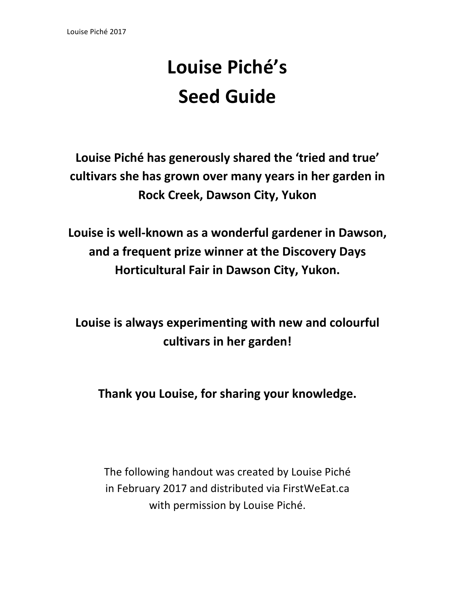# **Louise Piché's Seed Guide**

Louise Piché has generously shared the 'tried and true' cultivars she has grown over many years in her garden in **Rock Creek, Dawson City, Yukon**

Louise is well-known as a wonderful gardener in Dawson, and a frequent prize winner at the Discovery Days **Horticultural Fair in Dawson City, Yukon.** 

Louise is always experimenting with new and colourful cultivars in her garden!

**Thank** you Louise, for sharing your knowledge.

The following handout was created by Louise Piché in February 2017 and distributed via FirstWeEat.ca with permission by Louise Piché.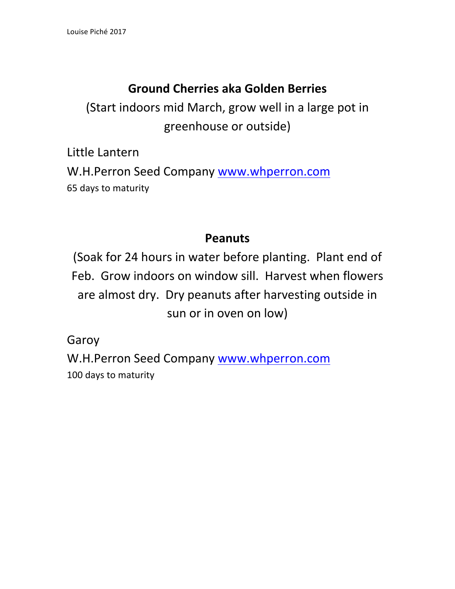# **Ground Cherries aka Golden Berries**

(Start indoors mid March, grow well in a large pot in greenhouse or outside)

Little Lantern W.H.Perron Seed Company www.whperron.com 65 days to maturity

#### **Peanuts**

(Soak for 24 hours in water before planting. Plant end of Feb. Grow indoors on window sill. Harvest when flowers are almost dry. Dry peanuts after harvesting outside in sun or in oven on low)

Garoy W.H.Perron Seed Company www.whperron.com

100 days to maturity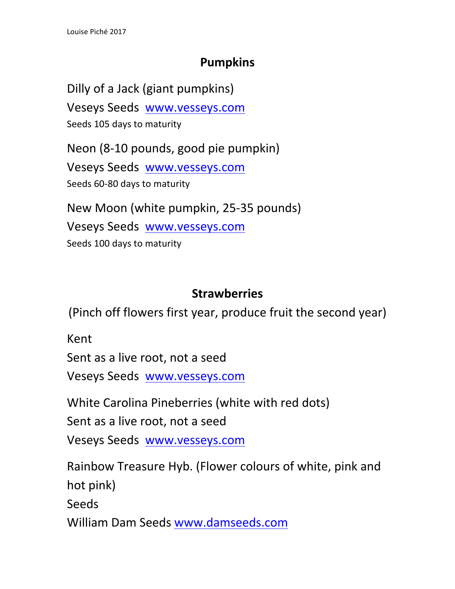# **Pumpkins**

Dilly of a Jack (giant pumpkins) Veseys Seeds www.vesseys.com Seeds 105 days to maturity

Neon (8-10 pounds, good pie pumpkin) Veseys Seeds www.vesseys.com Seeds 60-80 days to maturity

New Moon (white pumpkin, 25-35 pounds) Veseys Seeds www.vesseys.com Seeds 100 days to maturity

# **Strawberries**

(Pinch off flowers first year, produce fruit the second year)

Kent

Sent as a live root, not a seed

Veseys Seeds www.vesseys.com

White Carolina Pineberries (white with red dots)

Sent as a live root, not a seed

Veseys Seeds www.vesseys.com

Rainbow Treasure Hyb. (Flower colours of white, pink and hot pink)

Seeds

William Dam Seeds www.damseeds.com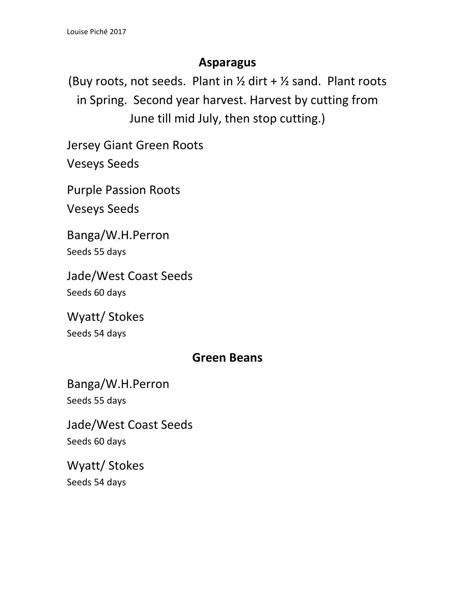#### **Asparagus**

(Buy roots, not seeds. Plant in  $\frac{1}{2}$  dirt +  $\frac{1}{2}$  sand. Plant roots in Spring. Second year harvest. Harvest by cutting from June till mid July, then stop cutting.)

Jersey Giant Green Roots Veseys Seeds

Purple Passion Roots

Veseys Seeds

Banga/W.H.Perron Seeds 55 days

Jade/West Coast Seeds Seeds 60 days

Wyatt/ Stokes Seeds 54 days

#### **Green Beans**

Banga/W.H.Perron Seeds 55 days

Jade/West Coast Seeds Seeds 60 days

Wyatt/ Stokes Seeds 54 days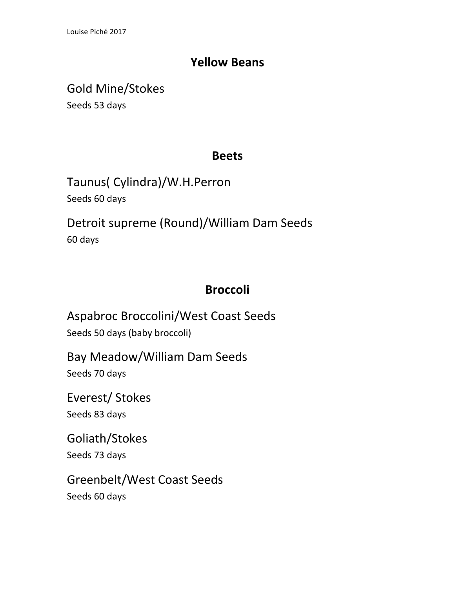#### **Yellow Beans**

Gold Mine/Stokes

Seeds 53 days

#### **Beets**

Taunus( Cylindra)/W.H.Perron Seeds 60 days

Detroit supreme (Round)/William Dam Seeds 60 days

# **Broccoli**

Aspabroc Broccolini/West Coast Seeds Seeds 50 days (baby broccoli)

Bay Meadow/William Dam Seeds 

Seeds 70 days

Everest/ Stokes Seeds 83 days

Goliath/Stokes Seeds 73 days

Greenbelt/West Coast Seeds Seeds 60 days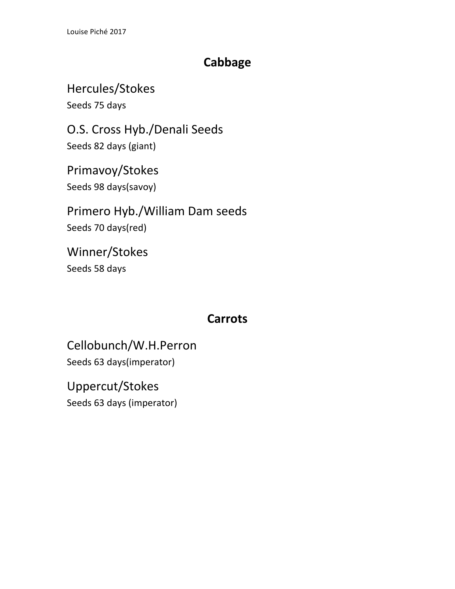## **Cabbage**

Hercules/Stokes Seeds 75 days

O.S. Cross Hyb./Denali Seeds Seeds 82 days (giant)

Primavoy/Stokes Seeds 98 days(savoy)

Primero Hyb./William Dam seeds Seeds 70 days(red)

Winner/Stokes Seeds 58 days

#### **Carrots**

Cellobunch/W.H.Perron Seeds 63 days(imperator)

Uppercut/Stokes Seeds 63 days (imperator)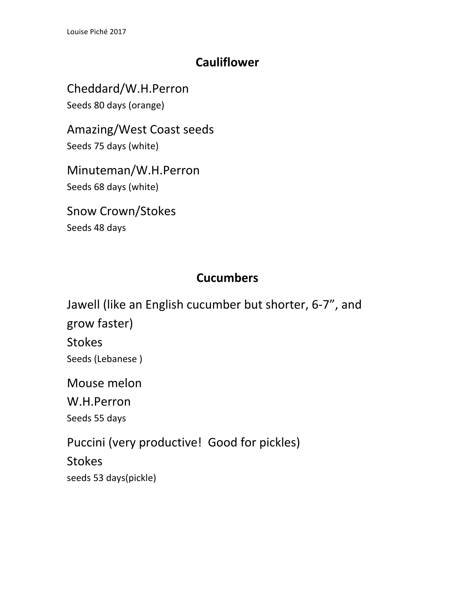## **Cauliflower**

Cheddard/W.H.Perron Seeds 80 days (orange)

Amazing/West Coast seeds Seeds 75 days (white)

Minuteman/W.H.Perron Seeds 68 days (white)

Snow Crown/Stokes Seeds 48 days

# **Cucumbers**

Jawell (like an English cucumber but shorter, 6-7", and grow faster) Stokes Seeds (Lebanese) Mouse melon

W.H.Perron

Seeds 55 days

Puccini (very productive! Good for pickles)

Stokes

seeds 53 days(pickle)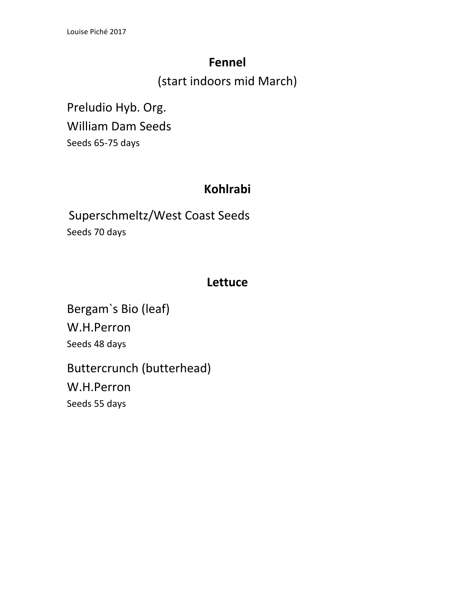#### **Fennel**

(start indoors mid March)

Preludio Hyb. Org. William Dam Seeds Seeds 65-75 days

## **Kohlrabi**

Superschmeltz/West Coast Seeds Seeds 70 days

## **Lettuce**

Bergam's Bio (leaf) W.H.Perron Seeds 48 days

Buttercrunch (butterhead) W.H.Perron

Seeds 55 days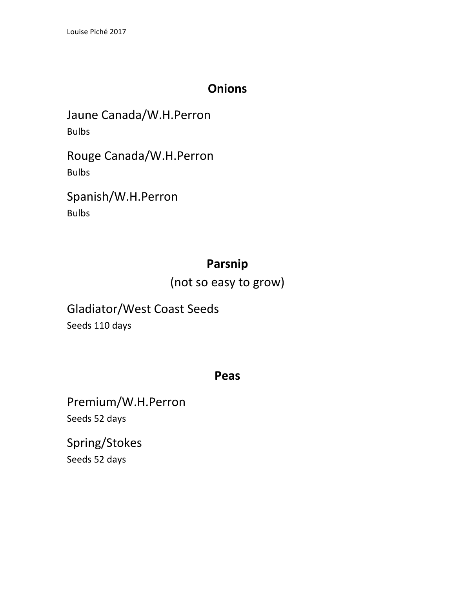#### **Onions**

Jaune Canada/W.H.Perron Bulbs 

Rouge Canada/W.H.Perron Bulbs

Spanish/W.H.Perron Bulbs

# **Parsnip**

(not so easy to grow)

Gladiator/West Coast Seeds Seeds 110 days

**Peas**

Premium/W.H.Perron Seeds 52 days

Spring/Stokes Seeds 52 days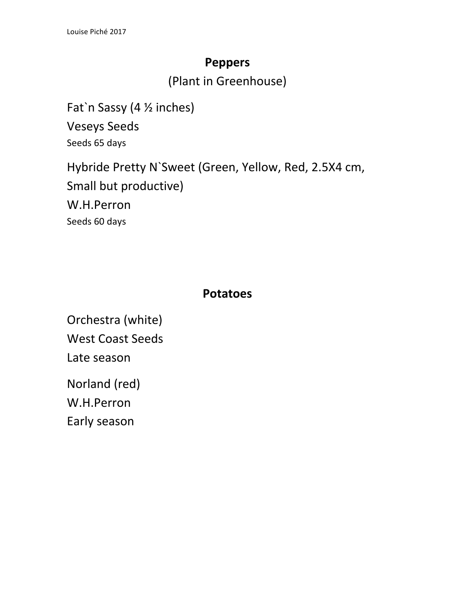#### **Peppers**

(Plant in Greenhouse)

Fat`n Sassy (4  $\frac{1}{2}$  inches) Veseys Seeds Seeds 65 days

Hybride Pretty N`Sweet (Green, Yellow, Red, 2.5X4 cm, Small but productive) W.H.Perron Seeds 60 days

#### **Potatoes**

Orchestra (white) West Coast Seeds Late season

Norland (red) W.H.Perron

Early season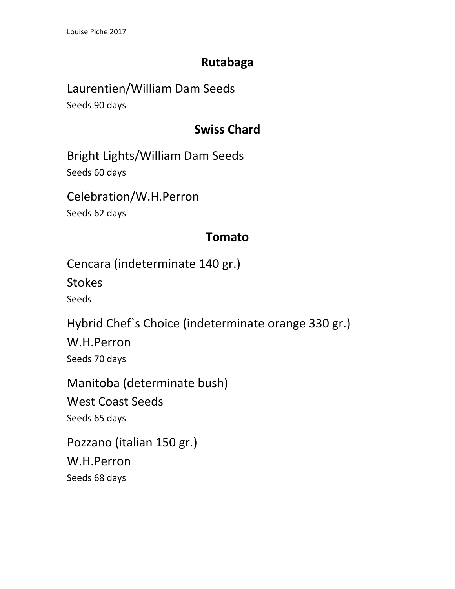## **Rutabaga**

#### Laurentien/William Dam Seeds

Seeds 90 days

# **Swiss Chard**

Bright Lights/William Dam Seeds Seeds 60 days

Celebration/W.H.Perron

Seeds 62 days

## **Tomato**

Cencara (indeterminate 140 gr.)

Stokes

Seeds 

Hybrid Chef's Choice (indeterminate orange 330 gr.)

W.H.Perron Seeds 70 days 

Manitoba (determinate bush)

West Coast Seeds

Seeds 65 days

Pozzano (italian 150 gr.)

W.H.Perron Seeds 68 days